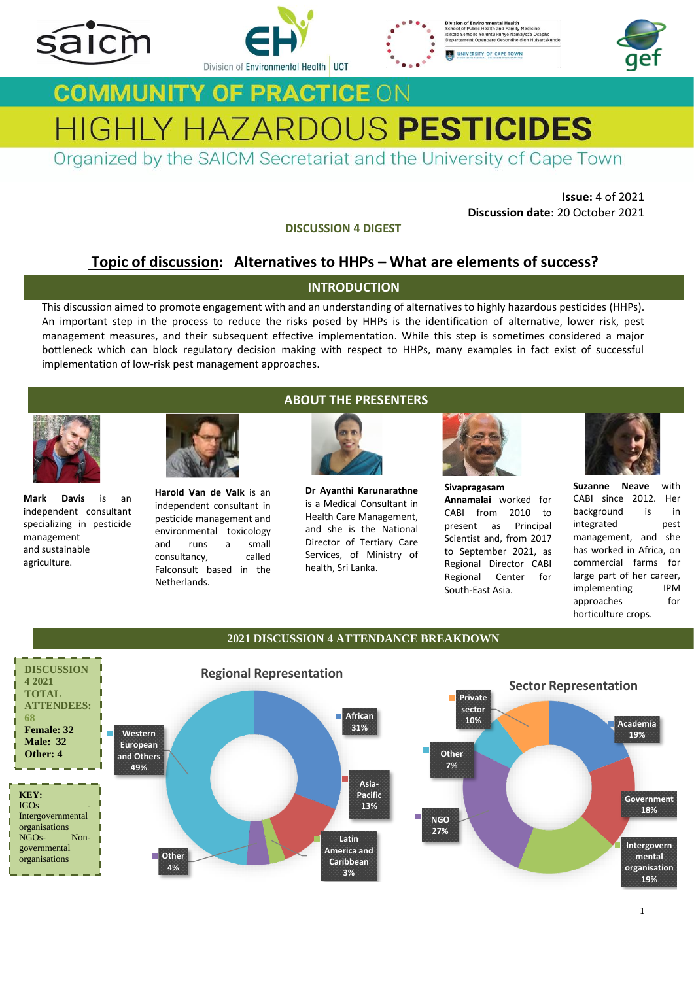







# **COMMUNITY OF PRACTICE ON** HIGHLY HAZARDOUS PESTICIDES

Organized by the SAICM Secretariat and the University of Cape Town

**Issue:** 4 of 2021 **Discussion date**: 20 October 2021 finding various information such as periodic registered elsewhere,  $\frac{1}{2}$  and  $\frac{1}{2}$  Discussion date: 20 October 2021

**DISCUSSION 4 DIGEST PESTICIDES (HHPT)** as  $\mathbf{P}$  as  $\mathbf{P}$  as  $\mathbf{P}$  as  $\mathbf{P}$  as  $\mathbf{P}$  as  $\mathbf{P}$  as  $\mathbf{P}$  as  $\mathbf{P}$  as  $\mathbf{P}$  as  $\mathbf{P}$  as  $\mathbf{P}$  as  $\mathbf{P}$  as  $\mathbf{P}$  as  $\mathbf{P}$  as  $\mathbf{P}$  as  $\mathbf{P}$  as  $\mathbf{P}$ 

## **Topic of discussion:** Alternatives to HHPs – What are elements of success?

## **INTRODUCTION**

This discussion aimed to promote engagement with and an understanding of alternatives to highly hazardous pesticides (HHPs).<br>An important step in the process to reduce the risks posed by HHPs is the identification of alter An important step in the process to reduce the risks posed by HHPs is the identification of alternative, lower risk, pest management measures, and their subsequent effective implementation. While this step is sometimes considered a major management measures, and their subsequent effective implementation. While this step is sometimes considered a major<br>bottleneck which can block regulatory decision making with respect to HHPs, many examples in fact exist of implementation of low-risk pest management approaches.  $M$ agement Team. To get in touch with Ivy.  $\alpha$  email her at: ivy.saunyama@fao.org. ivy.saunyama@fao.org.



**Mark Davis** is an independent consultant specializing in pesticide management and sustainable agriculture.



**Harold Van de Valk** is an independent consultant in pesticide management and environmental toxicology and runs a small consultancy, called Falconsult based in the Netherlands.

## **ABOUT THE PRESENTERS**



**Dr Ayanthi Karunarathne** is a Medical Consultant in Health Care Management, and she is the National Director of Tertiary Care Services, of Ministry of health, Sri Lanka. 1. What is a Medical Consultant in **Annamalai** worked for CABI since 2012. Her consultant in is a Medical Consultant in Annamalai worked for CABI since 2012. Her consultant in Annamalai worked for CABI since 2012. Her



**Sivapragasam Annamalai** worked for CABI from 2010 to present as Principal Scientist and, from 2017 to September 2021, as Regional Director CABI Regional Center for South-East Asia.



**Suzanne Neave** with CABI since 2012. Her background is in integrated pest management, and she has worked in Africa, on commercial farms for large part of her career, implementing IPM approaches for horticulture crops. **Countries South-East Asia.** South-East Asia. The sum of the series of the series of the series of the series of the series of the series of the series of the series of the series of the series of the series of the series

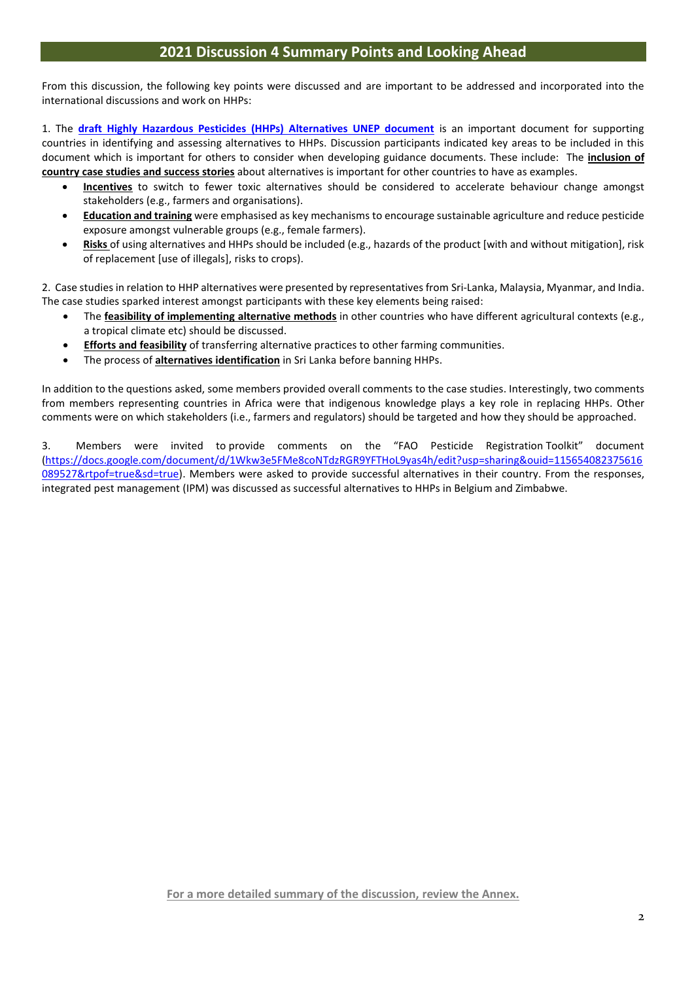From this discussion, the following key points were discussed and are important to be addressed and incorporated into the international discussions and work on HHPs:

1. The **[draft Highly Hazardous Pesticides \(HHPs\) Alternatives UNEP document](https://drive.google.com/file/d/1rEIIvDQNiawhc-t0whYPL36Jgh7TRwNj/view)** is an important document for supporting countries in identifying and assessing alternatives to HHPs. Discussion participants indicated key areas to be included in this document which is important for others to consider when developing guidance documents. These include: The **inclusion of country case studies and success stories** about alternatives is important for other countries to have as examples.

- **Incentives** to switch to fewer toxic alternatives should be considered to accelerate behaviour change amongst stakeholders (e.g., farmers and organisations).
- **Education and training** were emphasised as key mechanisms to encourage sustainable agriculture and reduce pesticide exposure amongst vulnerable groups (e.g., female farmers).
- **Risks** of using alternatives and HHPs should be included (e.g., hazards of the product [with and without mitigation], risk of replacement [use of illegals], risks to crops).

2. Case studies in relation to HHP alternatives were presented by representatives from Sri-Lanka, Malaysia, Myanmar, and India. The case studies sparked interest amongst participants with these key elements being raised:

- The **feasibility of implementing alternative methods** in other countries who have different agricultural contexts (e.g., a tropical climate etc) should be discussed.
- **Efforts and feasibility** of transferring alternative practices to other farming communities.
- The process of **alternatives identification** in Sri Lanka before banning HHPs.

In addition to the questions asked, some members provided overall comments to the case studies. Interestingly, two comments from members representing countries in Africa were that indigenous knowledge plays a key role in replacing HHPs. Other comments were on which stakeholders (i.e., farmers and regulators) should be targeted and how they should be approached.

3. Members were invited to provide comments on the "FAO Pesticide Registration Toolkit" document [\(https://docs.google.com/document/d/1Wkw3e5FMe8coNTdzRGR9YFTHoL9yas4h/edit?usp=sharing&ouid=115654082375616](https://docs.google.com/document/d/1Wkw3e5FMe8coNTdzRGR9YFTHoL9yas4h/edit?usp=sharing&ouid=115654082375616089527&rtpof=true&sd=true) [089527&rtpof=true&sd=true\)](https://docs.google.com/document/d/1Wkw3e5FMe8coNTdzRGR9YFTHoL9yas4h/edit?usp=sharing&ouid=115654082375616089527&rtpof=true&sd=true). Members were asked to provide successful alternatives in their country. From the responses, integrated pest management (IPM) was discussed as successful alternatives to HHPs in Belgium and Zimbabwe.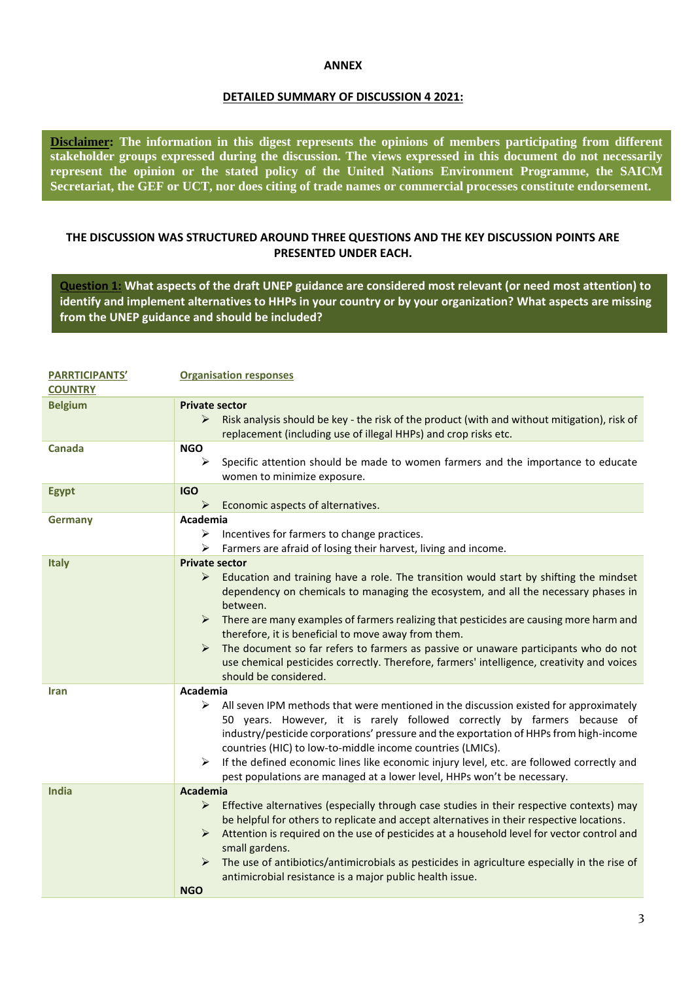#### **ANNEX**

#### **DETAILED SUMMARY OF DISCUSSION 4 2021:**

**Disclaimer: The information in this digest represents the opinions of members participating from different stakeholder groups expressed during the discussion. The views expressed in this document do not necessarily represent the opinion or the stated policy of the United Nations Environment Programme, the SAICM Secretariat, the GEF or UCT, nor does citing of trade names or commercial processes constitute endorsement.**

### **THE DISCUSSION WAS STRUCTURED AROUND THREE QUESTIONS AND THE KEY DISCUSSION POINTS ARE PRESENTED UNDER EACH.**

**Question 1: What aspects of the draft UNEP guidance are considered most relevant (or need most attention) to identify and implement alternatives to HHPs in your country or by your organization? What aspects are missing from the UNEP guidance and should be included?**

| <b>PARRTICIPANTS'</b><br><b>COUNTRY</b> | <b>Organisation responses</b>                                                                                                                                                                                                                                                                                                                                                                                                                                                                                                                                                                                                           |
|-----------------------------------------|-----------------------------------------------------------------------------------------------------------------------------------------------------------------------------------------------------------------------------------------------------------------------------------------------------------------------------------------------------------------------------------------------------------------------------------------------------------------------------------------------------------------------------------------------------------------------------------------------------------------------------------------|
| <b>Belgium</b>                          | <b>Private sector</b><br>➤<br>Risk analysis should be key - the risk of the product (with and without mitigation), risk of<br>replacement (including use of illegal HHPs) and crop risks etc.                                                                                                                                                                                                                                                                                                                                                                                                                                           |
| Canada                                  | <b>NGO</b><br>➤<br>Specific attention should be made to women farmers and the importance to educate<br>women to minimize exposure.                                                                                                                                                                                                                                                                                                                                                                                                                                                                                                      |
| <b>Egypt</b>                            | <b>IGO</b><br>Economic aspects of alternatives.<br>➤                                                                                                                                                                                                                                                                                                                                                                                                                                                                                                                                                                                    |
| Germany                                 | Academia<br>➤<br>Incentives for farmers to change practices.<br>Farmers are afraid of losing their harvest, living and income.<br>➤                                                                                                                                                                                                                                                                                                                                                                                                                                                                                                     |
| <b>Italy</b>                            | <b>Private sector</b><br>$\blacktriangleright$<br>Education and training have a role. The transition would start by shifting the mindset<br>dependency on chemicals to managing the ecosystem, and all the necessary phases in<br>between.<br>There are many examples of farmers realizing that pesticides are causing more harm and<br>➤<br>therefore, it is beneficial to move away from them.<br>The document so far refers to farmers as passive or unaware participants who do not<br>$\blacktriangleright$<br>use chemical pesticides correctly. Therefore, farmers' intelligence, creativity and voices<br>should be considered. |
| <b>Iran</b>                             | Academia<br>≻<br>All seven IPM methods that were mentioned in the discussion existed for approximately<br>50 years. However, it is rarely followed correctly by farmers because of<br>industry/pesticide corporations' pressure and the exportation of HHPs from high-income<br>countries (HIC) to low-to-middle income countries (LMICs).<br>If the defined economic lines like economic injury level, etc. are followed correctly and<br>➤<br>pest populations are managed at a lower level, HHPs won't be necessary.                                                                                                                 |
| <b>India</b>                            | <b>Academia</b><br>Effective alternatives (especially through case studies in their respective contexts) may<br>$\blacktriangleright$<br>be helpful for others to replicate and accept alternatives in their respective locations.<br>Attention is required on the use of pesticides at a household level for vector control and<br>➤<br>small gardens.<br>$\blacktriangleright$<br>The use of antibiotics/antimicrobials as pesticides in agriculture especially in the rise of<br>antimicrobial resistance is a major public health issue.<br><b>NGO</b>                                                                              |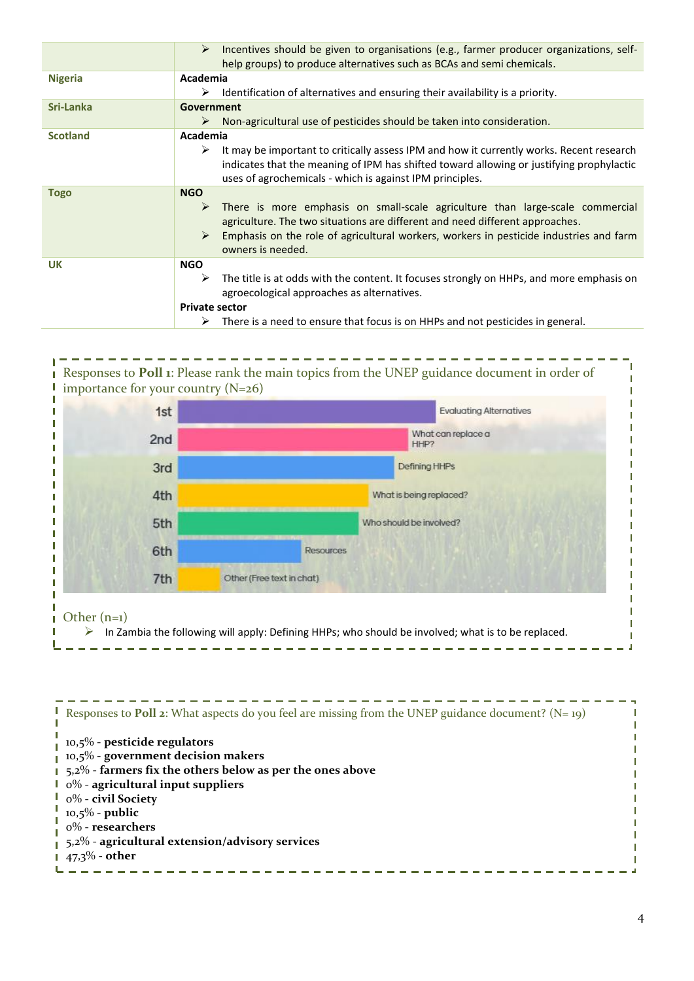|                 | Incentives should be given to organisations (e.g., farmer producer organizations, self-<br>➤<br>help groups) to produce alternatives such as BCAs and semi chemicals.                                                                                                                                |
|-----------------|------------------------------------------------------------------------------------------------------------------------------------------------------------------------------------------------------------------------------------------------------------------------------------------------------|
| <b>Nigeria</b>  | Academia<br>Identification of alternatives and ensuring their availability is a priority.<br>➤                                                                                                                                                                                                       |
| Sri-Lanka       | <b>Government</b><br>Non-agricultural use of pesticides should be taken into consideration.<br>➤                                                                                                                                                                                                     |
| <b>Scotland</b> | Academia<br>It may be important to critically assess IPM and how it currently works. Recent research<br>➤<br>indicates that the meaning of IPM has shifted toward allowing or justifying prophylactic<br>uses of agrochemicals - which is against IPM principles.                                    |
| <b>Togo</b>     | <b>NGO</b><br>There is more emphasis on small-scale agriculture than large-scale commercial<br>➤<br>agriculture. The two situations are different and need different approaches.<br>Emphasis on the role of agricultural workers, workers in pesticide industries and farm<br>➤<br>owners is needed. |
| <b>UK</b>       | <b>NGO</b><br>The title is at odds with the content. It focuses strongly on HHPs, and more emphasis on<br>➤<br>agroecological approaches as alternatives.<br><b>Private sector</b><br>$\triangleright$ There is a need to ensure that focus is on HHPs and not pesticides in general.                |



10,5% - **public** 0% - **researchers** 5,2% - **agricultural extension/advisory services** 47,3% - **other**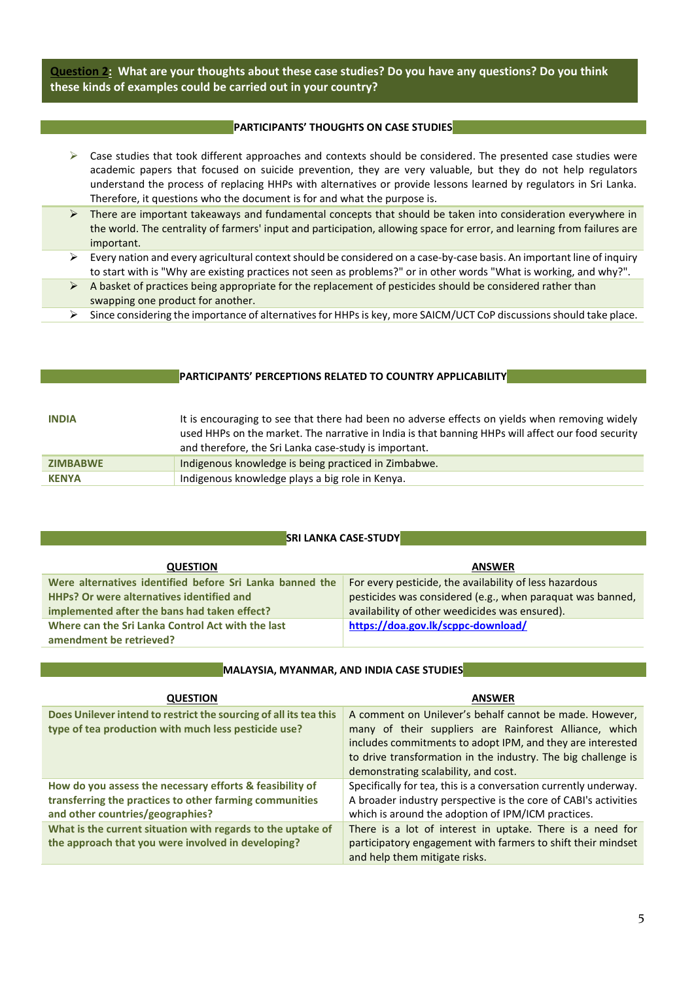**Question 2: What are your thoughts about these case studies? Do you have any questions? Do you think these kinds of examples could be carried out in your country?**

#### **PARTICIPANTS' THOUGHTS ON CASE STUDIES**

- $\triangleright$  Case studies that took different approaches and contexts should be considered. The presented case studies were academic papers that focused on suicide prevention, they are very valuable, but they do not help regulators understand the process of replacing HHPs with alternatives or provide lessons learned by regulators in Sri Lanka. Therefore, it questions who the document is for and what the purpose is.
- ➢ There are important takeaways and fundamental concepts that should be taken into consideration everywhere in the world. The centrality of farmers' input and participation, allowing space for error, and learning from failures are important.
- $\triangleright$  Every nation and every agricultural context should be considered on a case-by-case basis. An important line of inquiry to start with is "Why are existing practices not seen as problems?" or in other words "What is working, and why?".
- ➢ A basket of practices being appropriate for the replacement of pesticides should be considered rather than swapping one product for another.
- ➢ Since considering the importance of alternatives for HHPsis key, more SAICM/UCT CoP discussions should take place.

#### **PARTICIPANTS' PERCEPTIONS RELATED TO COUNTRY APPLICABILITY**

| <b>INDIA</b>    | It is encouraging to see that there had been no adverse effects on yields when removing widely<br>used HHPs on the market. The narrative in India is that banning HHPs will affect our food security<br>and therefore, the Sri Lanka case-study is important. |
|-----------------|---------------------------------------------------------------------------------------------------------------------------------------------------------------------------------------------------------------------------------------------------------------|
| <b>ZIMBABWE</b> | Indigenous knowledge is being practiced in Zimbabwe.                                                                                                                                                                                                          |
| <b>KENYA</b>    | Indigenous knowledge plays a big role in Kenya.                                                                                                                                                                                                               |

#### **SRI LANKA CASE-STUDY**

| <b>QUESTION</b>                                          | <b>ANSWER</b>                                              |
|----------------------------------------------------------|------------------------------------------------------------|
| Were alternatives identified before Sri Lanka banned the | For every pesticide, the availability of less hazardous    |
| HHPs? Or were alternatives identified and                | pesticides was considered (e.g., when paraquat was banned, |
| implemented after the bans had taken effect?             | availability of other weedicides was ensured).             |
| Where can the Sri Lanka Control Act with the last        | https://doa.gov.lk/scppc-download/                         |
| amendment be retrieved?                                  |                                                            |

#### **MALAYSIA, MYANMAR, AND INDIA CASE STUDIES**

| <b>QUESTION</b>                                                                                                                                         | <b>ANSWER</b>                                                                                                                                                                                                                                                                            |
|---------------------------------------------------------------------------------------------------------------------------------------------------------|------------------------------------------------------------------------------------------------------------------------------------------------------------------------------------------------------------------------------------------------------------------------------------------|
| Does Unilever intend to restrict the sourcing of all its tea this<br>type of tea production with much less pesticide use?                               | A comment on Unilever's behalf cannot be made. However,<br>many of their suppliers are Rainforest Alliance, which<br>includes commitments to adopt IPM, and they are interested<br>to drive transformation in the industry. The big challenge is<br>demonstrating scalability, and cost. |
| How do you assess the necessary efforts & feasibility of<br>transferring the practices to other farming communities<br>and other countries/geographies? | Specifically for tea, this is a conversation currently underway.<br>A broader industry perspective is the core of CABI's activities<br>which is around the adoption of IPM/ICM practices.                                                                                                |
| What is the current situation with regards to the uptake of<br>the approach that you were involved in developing?                                       | There is a lot of interest in uptake. There is a need for<br>participatory engagement with farmers to shift their mindset<br>and help them mitigate risks.                                                                                                                               |